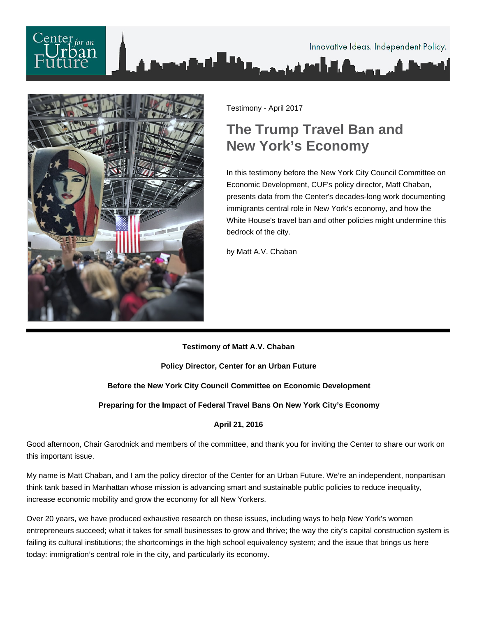# $\frac{1}{2}$  for an Innovative Ideas. Independent Policy.



Testimony - April 2017

## **The Trump Travel Ban and New York's Economy**

In this testimony before the New York City Council Committee on Economic Development, CUF's policy director, Matt Chaban, presents data from the Center's decades-long work documenting immigrants central role in New York's economy, and how the White House's travel ban and other policies might undermine this bedrock of the city.

by Matt A.V. Chaban

#### **Testimony of Matt A.V. Chaban**

**Policy Director, Center for an Urban Future**

### **Before the New York City Council Committee on Economic Development**

**Preparing for the Impact of Federal Travel Bans On New York City's Economy**

#### **April 21, 2016**

Good afternoon, Chair Garodnick and members of the committee, and thank you for inviting the Center to share our work on this important issue.

My name is Matt Chaban, and I am the policy director of the Center for an Urban Future. We're an independent, nonpartisan think tank based in Manhattan whose mission is advancing smart and sustainable public policies to reduce inequality, increase economic mobility and grow the economy for all New Yorkers.

Over 20 years, we have produced exhaustive research on these issues, including ways to help New York's women entrepreneurs succeed; what it takes for small businesses to grow and thrive; the way the city's capital construction system is failing its cultural institutions; the shortcomings in the high school equivalency system; and the issue that brings us here today: immigration's central role in the city, and particularly its economy.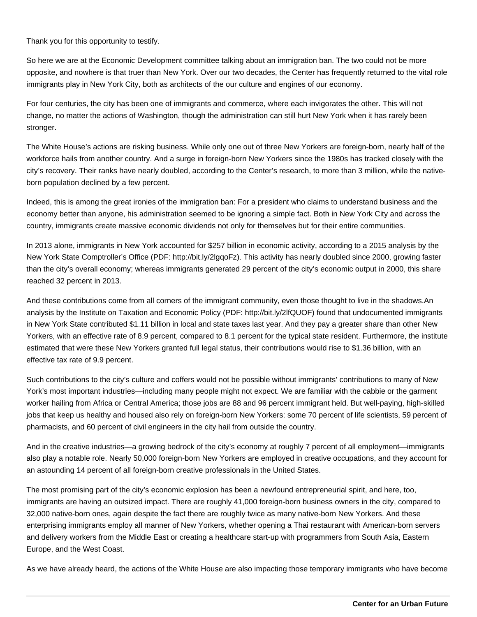Thank you for this opportunity to testify.

So here we are at the Economic Development committee talking about an immigration ban. The two could not be more opposite, and nowhere is that truer than New York. Over our two decades, the Center has frequently returned to the vital role immigrants play in New York City, both as architects of the our culture and engines of our economy.

For four centuries, the city has been one of immigrants and commerce, where each invigorates the other. This will not change, no matter the actions of Washington, though the administration can still hurt New York when it has rarely been stronger.

The White House's actions are risking business. While only one out of three New Yorkers are foreign-born, nearly half of the workforce hails from another country. And a surge in foreign-born New Yorkers since the 1980s has tracked closely with the city's recovery. Their ranks have nearly doubled, according to the Center's research, to more than 3 million, while the nativeborn population declined by a few percent.

Indeed, this is among the great ironies of the immigration ban: For a president who claims to understand business and the economy better than anyone, his administration seemed to be ignoring a simple fact. Both in New York City and across the country, immigrants create massive economic dividends not only for themselves but for their entire communities.

In 2013 alone, immigrants in New York accounted for \$257 billion in economic activity, according to a 2015 analysis by the New York State Comptroller's Office (PDF: http://bit.ly/2lgqoFz). This activity has nearly doubled since 2000, growing faster than the city's overall economy; whereas immigrants generated 29 percent of the city's economic output in 2000, this share reached 32 percent in 2013.

And these contributions come from all corners of the immigrant community, even those thought to live in the shadows.An analysis by the Institute on Taxation and Economic Policy (PDF: http://bit.ly/2lfQUOF) found that undocumented immigrants in New York State contributed \$1.11 billion in local and state taxes last year. And they pay a greater share than other New Yorkers, with an effective rate of 8.9 percent, compared to 8.1 percent for the typical state resident. Furthermore, the institute estimated that were these New Yorkers granted full legal status, their contributions would rise to \$1.36 billion, with an effective tax rate of 9.9 percent.

Such contributions to the city's culture and coffers would not be possible without immigrants' contributions to many of New York's most important industries—including many people might not expect. We are familiar with the cabbie or the garment worker hailing from Africa or Central America; those jobs are 88 and 96 percent immigrant held. But well-paying, high-skilled jobs that keep us healthy and housed also rely on foreign-born New Yorkers: some 70 percent of life scientists, 59 percent of pharmacists, and 60 percent of civil engineers in the city hail from outside the country.

And in the creative industries—a growing bedrock of the city's economy at roughly 7 percent of all employment—immigrants also play a notable role. Nearly 50,000 foreign-born New Yorkers are employed in creative occupations, and they account for an astounding 14 percent of all foreign-born creative professionals in the United States.

The most promising part of the city's economic explosion has been a newfound entrepreneurial spirit, and here, too, immigrants are having an outsized impact. There are roughly 41,000 foreign-born business owners in the city, compared to 32,000 native-born ones, again despite the fact there are roughly twice as many native-born New Yorkers. And these enterprising immigrants employ all manner of New Yorkers, whether opening a Thai restaurant with American-born servers and delivery workers from the Middle East or creating a healthcare start-up with programmers from South Asia, Eastern Europe, and the West Coast.

As we have already heard, the actions of the White House are also impacting those temporary immigrants who have become